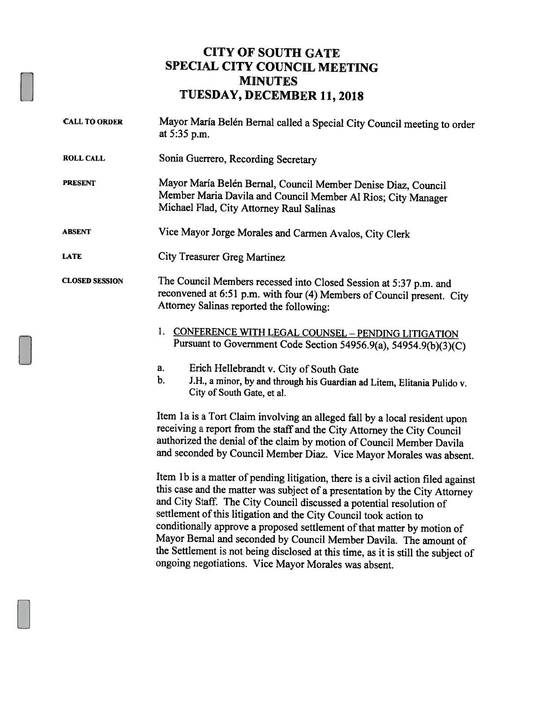## CITY OF SOUTH GATE SPECIAL CITY COUNCIL MEETING MINUTES TUESDAY, DECEMBER 11, 2018

CALL TO ORDER Mayor Maria Belén Bernal called <sup>a</sup> Special City Council meeting to order at 5:35 p.m. ROLL CALL Sonia Guerrero, Recording Secretary PRESENT Mayor Maria Belén Bernal, Council Member Denise Diaz, Council Member Maria Davila and Council Member Al Rios; City Manager Michael Flad, City Attorney Raul Salinas ABSENT Vice Mayor Jorge Morales and Carmen Avalos, City Clerk LATE City Treasurer Greg Martinez CLOSED SESSION The Council Members recessed into Closed Session at 5:37 p.m. and reconvened at 6:51 p.m. with four (4) Members of Council present. City Attorney Salinas reported the following: 1. CONFERENCE WITH LEGAL COUNSEL - PENDING LITIGATION Pursuant to Government Code Section 54956.9(a), 54954.9(b)(3)(C) a. Erich Hellebrandt v. City of South Gate b. J.H., <sup>a</sup> minor, by and through his Guardian ad Litem, Elitania Pulido v. City of South Gate, et a!. Item 1a is a Tort Claim involving an alleged fall by a local resident upon receiving <sup>a</sup> report from the staff and the City Attorney the City Council authorized the denial of the claim by motion of Council Member Davila and seconded by Council Member Diaz. Vice Mayor Morales was absent. Item lb is <sup>a</sup> matter of pending litigation, there is <sup>a</sup> civil action filed against this case and the matter was subject of <sup>a</sup> presentation by the City Attorney and City Staff. The City Council discussed <sup>a</sup> potential resolution of settlement of this litigation and the City Council took action to

conditionally approve a proposed settlement of that matter by motion of Mayor Bernal and seconded by Council Member Davila. The amount of the Settlement is not being disclosed at this time, as it is still the subject of ongoing negotiations. Vice Mayor Morales was absent.